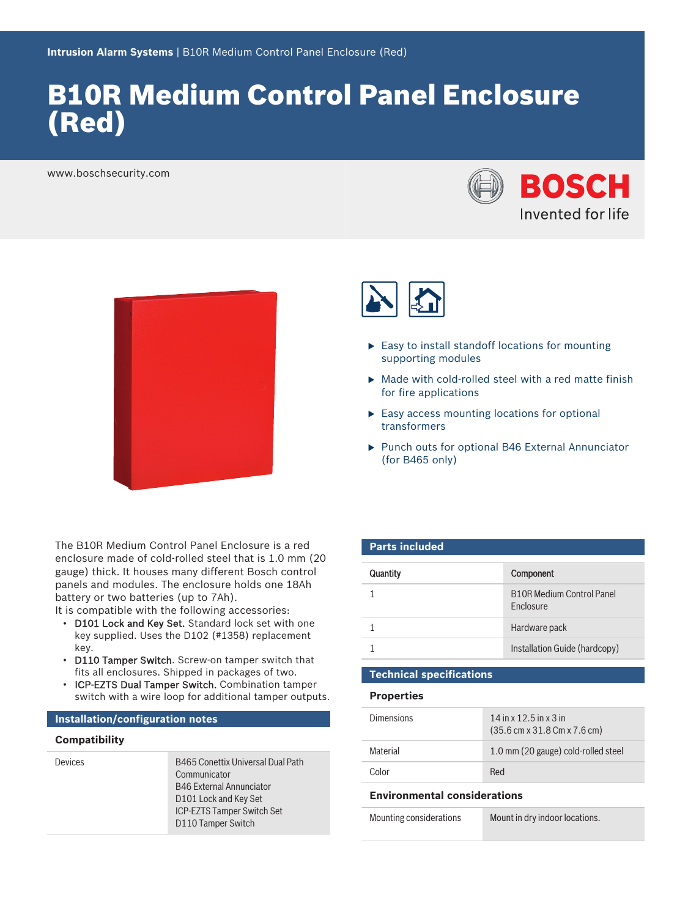# B10R Medium Control Panel Enclosure (Red)

www.boschsecurity.com





The B10R Medium Control Panel Enclosure is a red enclosure made of cold-rolled steel that is 1.0 mm (20 gauge) thick. It houses many different Bosch control panels and modules. The enclosure holds one 18Ah battery or two batteries (up to 7Ah).

It is compatible with the following accessories:

- D101 Lock and Key Set. Standard lock set with one key supplied. Uses the D102 (#1358) replacement key.
- D110 Tamper Switch. Screw-on tamper switch that fits all enclosures. Shipped in packages of two.
- ICP-EZTS Dual Tamper Switch. Combination tamper switch with a wire loop for additional tamper outputs.

#### **Installation/configuration notes**

#### **Compatibility**

Devices B465 Conettix Universal Dual Path Communicator B46 External Annunciator D101 Lock and Key Set ICP-EZTS Tamper Switch Set D110 Tamper Switch



- $\blacktriangleright$  Easy to install standoff locations for mounting supporting modules
- $\blacktriangleright$  Made with cold-rolled steel with a red matte finish for fire applications
- $\blacktriangleright$  Easy access mounting locations for optional transformers
- $\blacktriangleright$  Punch outs for optional B46 External Annunciator (for B465 only)

#### **Parts included**

| <b>Quantity</b> | Component                                            |
|-----------------|------------------------------------------------------|
|                 | <b>B10B Medium Control Panel</b><br><b>Fnclosure</b> |
|                 | Hardware pack                                        |
|                 | Installation Guide (hardcopy)                        |

## **Technical specifications**

#### **Properties**

| Dimensions | $14$ in x $12.5$ in x 3 in<br>$(35.6 \text{ cm} \times 31.8 \text{ cm} \times 7.6 \text{ cm})$ |
|------------|------------------------------------------------------------------------------------------------|
| Material   | 1.0 mm (20 gauge) cold-rolled steel                                                            |
| Color      | Red                                                                                            |

#### **Environmental considerations**

Mounting considerations Mount in dry indoor locations.